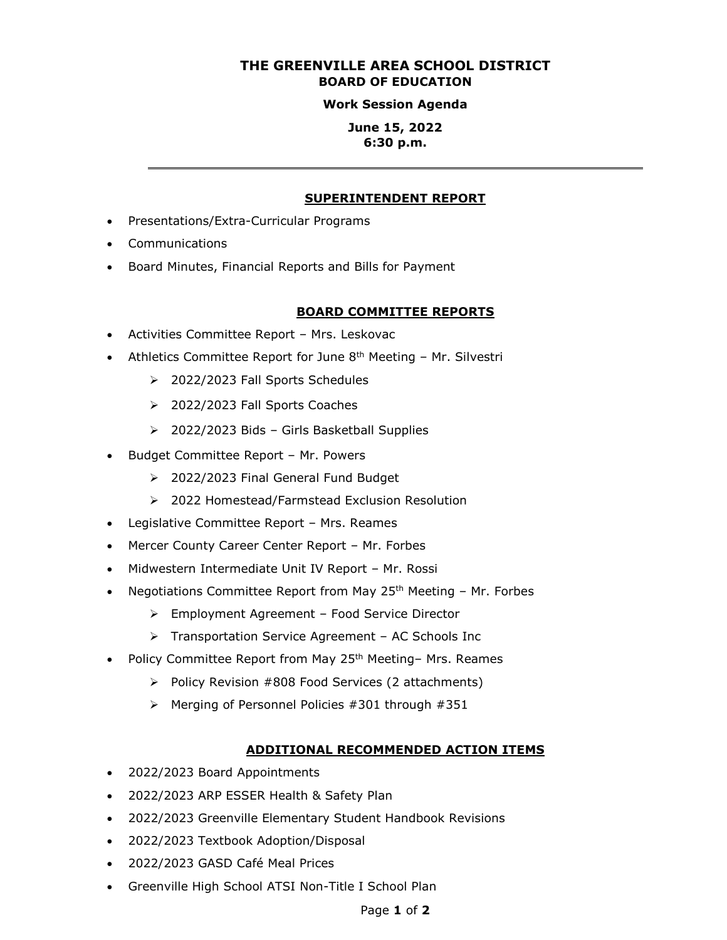# **THE GREENVILLE AREA SCHOOL DISTRICT BOARD OF EDUCATION**

#### **Work Session Agenda**

### **June 15, 2022 6:30 p.m.**

#### **SUPERINTENDENT REPORT**

- Presentations/Extra-Curricular Programs
- Communications
- Board Minutes, Financial Reports and Bills for Payment

#### **BOARD COMMITTEE REPORTS**

- Activities Committee Report Mrs. Leskovac
- Athletics Committee Report for June 8<sup>th</sup> Meeting Mr. Silvestri
	- ➢ 2022/2023 Fall Sports Schedules
	- ➢ 2022/2023 Fall Sports Coaches
	- ➢ 2022/2023 Bids Girls Basketball Supplies
- Budget Committee Report Mr. Powers
	- ➢ 2022/2023 Final General Fund Budget
	- ➢ 2022 Homestead/Farmstead Exclusion Resolution
- Legislative Committee Report Mrs. Reames
- Mercer County Career Center Report Mr. Forbes
- Midwestern Intermediate Unit IV Report Mr. Rossi
- Negotiations Committee Report from May 25<sup>th</sup> Meeting Mr. Forbes
	- ➢ Employment Agreement Food Service Director
	- ➢ Transportation Service Agreement AC Schools Inc
- Policy Committee Report from May 25<sup>th</sup> Meeting- Mrs. Reames
	- ➢ Policy Revision #808 Food Services (2 attachments)
	- ➢ Merging of Personnel Policies #301 through #351

#### **ADDITIONAL RECOMMENDED ACTION ITEMS**

- 2022/2023 Board Appointments
- 2022/2023 ARP ESSER Health & Safety Plan
- 2022/2023 Greenville Elementary Student Handbook Revisions
- 2022/2023 Textbook Adoption/Disposal
- 2022/2023 GASD Café Meal Prices
- Greenville High School ATSI Non-Title I School Plan